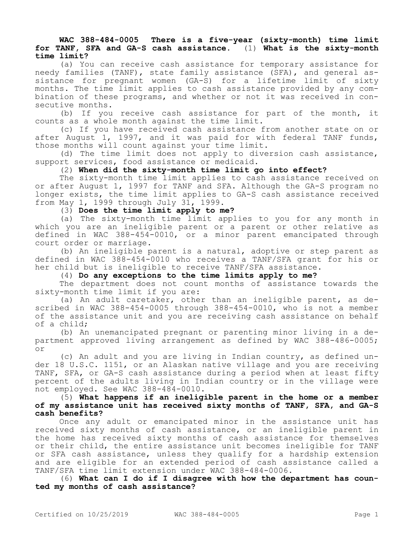## **WAC 388-484-0005 There is a five-year (sixty-month) time limit for TANF, SFA and GA-S cash assistance.** (1) **What is the sixty-month time limit?**

(a) You can receive cash assistance for temporary assistance for needy families (TANF), state family assistance (SFA), and general assistance for pregnant women (GA-S) for a lifetime limit of sixty months. The time limit applies to cash assistance provided by any combination of these programs, and whether or not it was received in consecutive months.

(b) If you receive cash assistance for part of the month, it counts as a whole month against the time limit.

(c) If you have received cash assistance from another state on or after August 1, 1997, and it was paid for with federal TANF funds, those months will count against your time limit.

(d) The time limit does not apply to diversion cash assistance, support services, food assistance or medicaid.

(2) **When did the sixty-month time limit go into effect?**

The sixty-month time limit applies to cash assistance received on or after August 1, 1997 for TANF and SFA. Although the GA-S program no longer exists, the time limit applies to GA-S cash assistance received from May 1, 1999 through July 31, 1999.

(3) **Does the time limit apply to me?**

(a) The sixty-month time limit applies to you for any month in which you are an ineligible parent or a parent or other relative as defined in WAC 388-454-0010, or a minor parent emancipated through court order or marriage.

(b) An ineligible parent is a natural, adoptive or step parent as defined in WAC 388-454-0010 who receives a TANF/SFA grant for his or her child but is ineligible to receive TANF/SFA assistance.

(4) **Do any exceptions to the time limits apply to me?**

The department does not count months of assistance towards the sixty-month time limit if you are:

(a) An adult caretaker, other than an ineligible parent, as described in WAC 388-454-0005 through 388-454-0010, who is not a member of the assistance unit and you are receiving cash assistance on behalf of a child;

(b) An unemancipated pregnant or parenting minor living in a department approved living arrangement as defined by WAC 388-486-0005; or

(c) An adult and you are living in Indian country, as defined under 18 U.S.C. 1151, or an Alaskan native village and you are receiving TANF, SFA, or GA-S cash assistance during a period when at least fifty percent of the adults living in Indian country or in the village were not employed. See WAC 388-484-0010.

(5) **What happens if an ineligible parent in the home or a member of my assistance unit has received sixty months of TANF, SFA, and GA-S cash benefits?**

Once any adult or emancipated minor in the assistance unit has received sixty months of cash assistance, or an ineligible parent in the home has received sixty months of cash assistance for themselves or their child, the entire assistance unit becomes ineligible for TANF or SFA cash assistance, unless they qualify for a hardship extension and are eligible for an extended period of cash assistance called a TANF/SFA time limit extension under WAC 388-484-0006.

(6) **What can I do if I disagree with how the department has counted my months of cash assistance?**